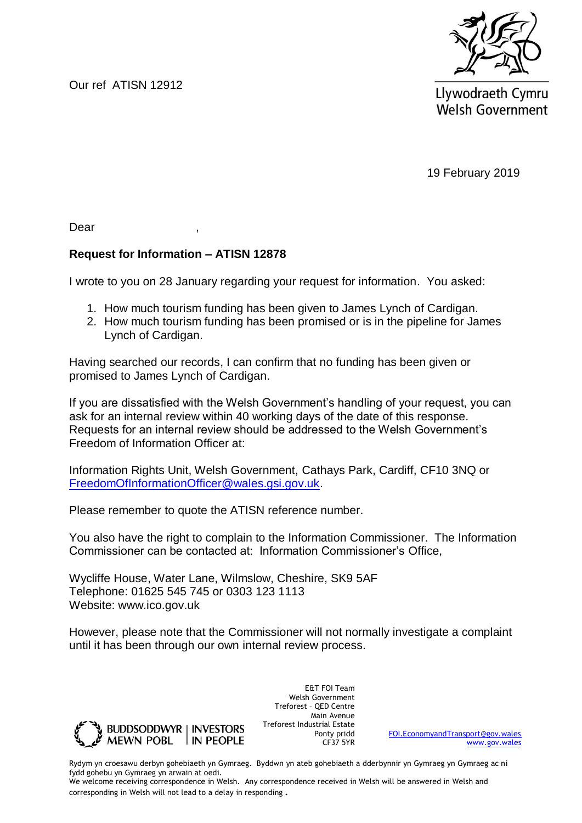Our ref ATISN 12912



Llywodraeth Cymru **Welsh Government** 

19 February 2019

Dear ,

## **Request for Information – ATISN 12878**

I wrote to you on 28 January regarding your request for information. You asked:

- 1. How much tourism funding has been given to James Lynch of Cardigan.
- 2. How much tourism funding has been promised or is in the pipeline for James Lynch of Cardigan.

Having searched our records, I can confirm that no funding has been given or promised to James Lynch of Cardigan.

If you are dissatisfied with the Welsh Government's handling of your request, you can ask for an internal review within 40 working days of the date of this response. Requests for an internal review should be addressed to the Welsh Government's Freedom of Information Officer at:

Information Rights Unit, Welsh Government, Cathays Park, Cardiff, CF10 3NQ or [FreedomOfInformationOfficer@wales.gsi.gov.uk.](mailto:FreedomOfInformationOfficer@wales.gsi.gov.uk)

Please remember to quote the ATISN reference number.

You also have the right to complain to the Information Commissioner. The Information Commissioner can be contacted at: Information Commissioner's Office,

Wycliffe House, Water Lane, Wilmslow, Cheshire, SK9 5AF Telephone: 01625 545 745 or 0303 123 1113 Website: www.ico.gov.uk

However, please note that the Commissioner will not normally investigate a complaint until it has been through our own internal review process.



E&T FOI Team Welsh Government Treforest – QED Centre Main Avenue Treforest Industrial Estate Ponty pridd CF37 5YR

[FOI.EconomyandTransport@gov.wales](mailto:FOI.EconomyandTransport@gov.wales) [www.gov.wales](http://www.gov.wales/)

Rydym yn croesawu derbyn gohebiaeth yn Gymraeg. Byddwn yn ateb gohebiaeth a dderbynnir yn Gymraeg yn Gymraeg ac ni fydd gohebu yn Gymraeg yn arwain at oedi.

We welcome receiving correspondence in Welsh. Any correspondence received in Welsh will be answered in Welsh and corresponding in Welsh will not lead to a delay in responding.